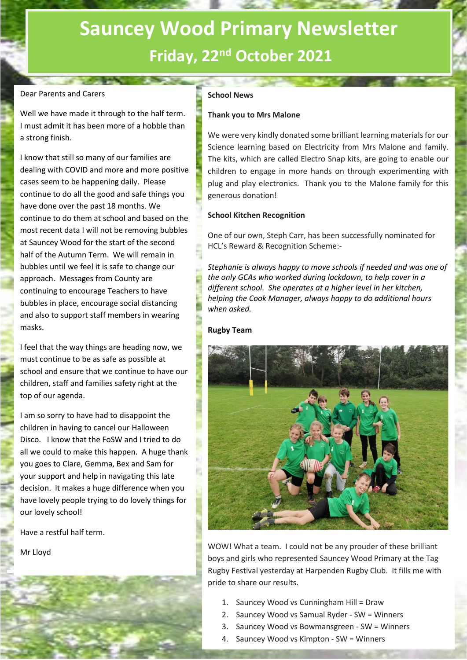# **Sauncey Wood Primary Newsletter Friday, 22nd October 2021**

# Dear Parents and Carers

Well we have made it through to the half term. I must admit it has been more of a hobble than a strong finish.

I know that still so many of our families are dealing with COVID and more and more positive cases seem to be happening daily. Please continue to do all the good and safe things you have done over the past 18 months. We continue to do them at school and based on the most recent data I will not be removing bubbles at Sauncey Wood for the start of the second half of the Autumn Term. We will remain in bubbles until we feel it is safe to change our approach. Messages from County are continuing to encourage Teachers to have bubbles in place, encourage social distancing and also to support staff members in wearing masks.

I feel that the way things are heading now, we must continue to be as safe as possible at school and ensure that we continue to have our children, staff and families safety right at the top of our agenda.

I am so sorry to have had to disappoint the children in having to cancel our Halloween Disco. I know that the FoSW and I tried to do all we could to make this happen. A huge thank you goes to Clare, Gemma, Bex and Sam for your support and help in navigating this late decision. It makes a huge difference when you have lovely people trying to do lovely things for our lovely school!

Have a restful half term.

Mr Lloyd

#### **School News**

#### **Thank you to Mrs Malone**

We were very kindly donated some brilliant learning materials for our Science learning based on Electricity from Mrs Malone and family. The kits, which are called Electro Snap kits, are going to enable our children to engage in more hands on through experimenting with plug and play electronics. Thank you to the Malone family for this generous donation!

#### **School Kitchen Recognition**

One of our own, Steph Carr, has been successfully nominated for HCL's Reward & Recognition Scheme:-

*Stephanie is always happy to move schools if needed and was one of the only GCAs who worked during lockdown, to help cover in a different school. She operates at a higher level in her kitchen, helping the Cook Manager, always happy to do additional hours when asked.*

#### **Rugby Team**



WOW! What a team. I could not be any prouder of these brilliant boys and girls who represented Sauncey Wood Primary at the Tag Rugby Festival yesterday at Harpenden Rugby Club. It fills me with pride to share our results.

- 1. Sauncey Wood vs Cunningham Hill = Draw
- 2. Sauncey Wood vs Samual Ryder SW = Winners
- 3. Sauncey Wood vs Bowmansgreen SW = Winners
- 4. Sauncey Wood vs Kimpton SW = Winners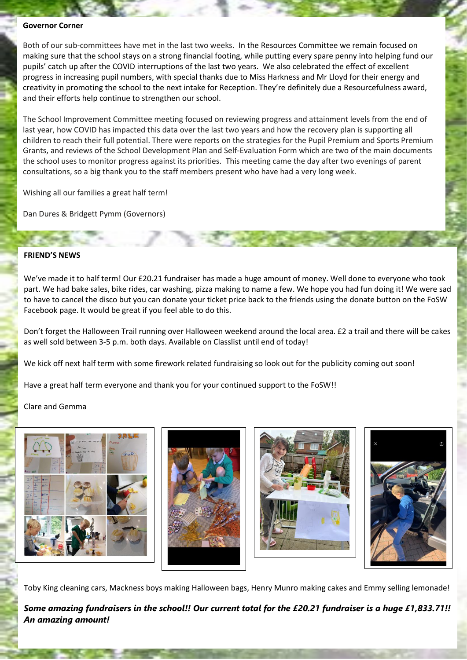### **Governor Corner**

Both of our sub-committees have met in the last two weeks. In the Resources Committee we remain focused on making sure that the school stays on a strong financial footing, while putting every spare penny into helping fund our pupils' catch up after the COVID interruptions of the last two years. We also celebrated the effect of excellent progress in increasing pupil numbers, with special thanks due to Miss Harkness and Mr Lloyd for their energy and creativity in promoting the school to the next intake for Reception. They're definitely due a Resourcefulness award, and their efforts help continue to strengthen our school.

The School Improvement Committee meeting focused on reviewing progress and attainment levels from the end of last year, how COVID has impacted this data over the last two years and how the recovery plan is supporting all children to reach their full potential. There were reports on the strategies for the Pupil Premium and Sports Premium Grants, and reviews of the School Development Plan and Self-Evaluation Form which are two of the main documents the school uses to monitor progress against its priorities. This meeting came the day after two evenings of parent consultations, so a big thank you to the staff members present who have had a very long week.

Wishing all our families a great half term!

Dan Dures & Bridgett Pymm (Governors)

#### **FRIEND'S NEWS**

We've made it to half term! Our £20.21 fundraiser has made a huge amount of money. Well done to everyone who took part. We had bake sales, bike rides, car washing, pizza making to name a few. We hope you had fun doing it! We were sad to have to cancel the disco but you can donate your ticket price back to the friends using the donate button on the FoSW Facebook page. It would be great if you feel able to do this.

Don't forget the Halloween Trail running over Halloween weekend around the local area. £2 a trail and there will be cakes as well sold between 3-5 p.m. both days. Available on Classlist until end of today!

We kick off next half term with some firework related fundraising so look out for the publicity coming out soon!

Have a great half term everyone and thank you for your continued support to the FoSW!!

# Clare and Gemma



Toby King cleaning cars, Mackness boys making Halloween bags, Henry Munro making cakes and Emmy selling lemonade!

*Some amazing fundraisers in the school!! Our current total for the £20.21 fundraiser is a huge £1,833.71!! An amazing amount!*